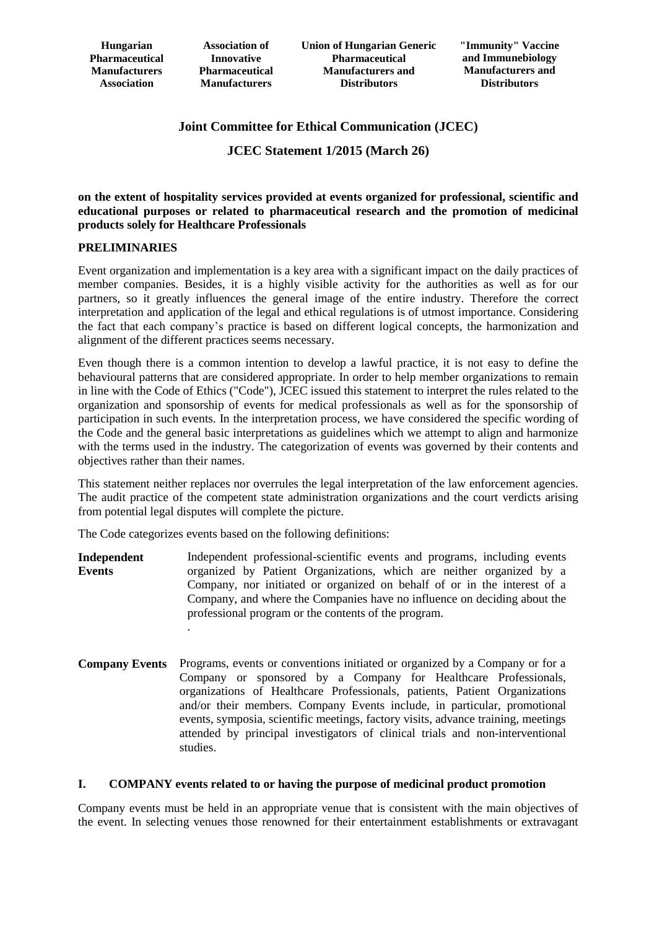**Association of Innovative Pharmaceutical Manufacturers**

# **Joint Committee for Ethical Communication (JCEC)**

**JCEC Statement 1/2015 (March 26)**

**on the extent of hospitality services provided at events organized for professional, scientific and educational purposes or related to pharmaceutical research and the promotion of medicinal products solely for Healthcare Professionals**

### **PRELIMINARIES**

Event organization and implementation is a key area with a significant impact on the daily practices of member companies. Besides, it is a highly visible activity for the authorities as well as for our partners, so it greatly influences the general image of the entire industry. Therefore the correct interpretation and application of the legal and ethical regulations is of utmost importance. Considering the fact that each company's practice is based on different logical concepts, the harmonization and alignment of the different practices seems necessary.

Even though there is a common intention to develop a lawful practice, it is not easy to define the behavioural patterns that are considered appropriate. In order to help member organizations to remain in line with the Code of Ethics ("Code"), JCEC issued this statement to interpret the rules related to the organization and sponsorship of events for medical professionals as well as for the sponsorship of participation in such events. In the interpretation process, we have considered the specific wording of the Code and the general basic interpretations as guidelines which we attempt to align and harmonize with the terms used in the industry. The categorization of events was governed by their contents and objectives rather than their names.

This statement neither replaces nor overrules the legal interpretation of the law enforcement agencies. The audit practice of the competent state administration organizations and the court verdicts arising from potential legal disputes will complete the picture.

The Code categorizes events based on the following definitions:

- **Independent Events** Independent professional-scientific events and programs, including events organized by Patient Organizations, which are neither organized by a Company, nor initiated or organized on behalf of or in the interest of a Company, and where the Companies have no influence on deciding about the professional program or the contents of the program. .
- **Company Events** Programs, events or conventions initiated or organized by a Company or for a Company or sponsored by a Company for Healthcare Professionals, organizations of Healthcare Professionals, patients, Patient Organizations and/or their members. Company Events include, in particular, promotional events, symposia, scientific meetings, factory visits, advance training, meetings attended by principal investigators of clinical trials and non-interventional studies.

### **I. COMPANY events related to or having the purpose of medicinal product promotion**

Company events must be held in an appropriate venue that is consistent with the main objectives of the event. In selecting venues those renowned for their entertainment establishments or extravagant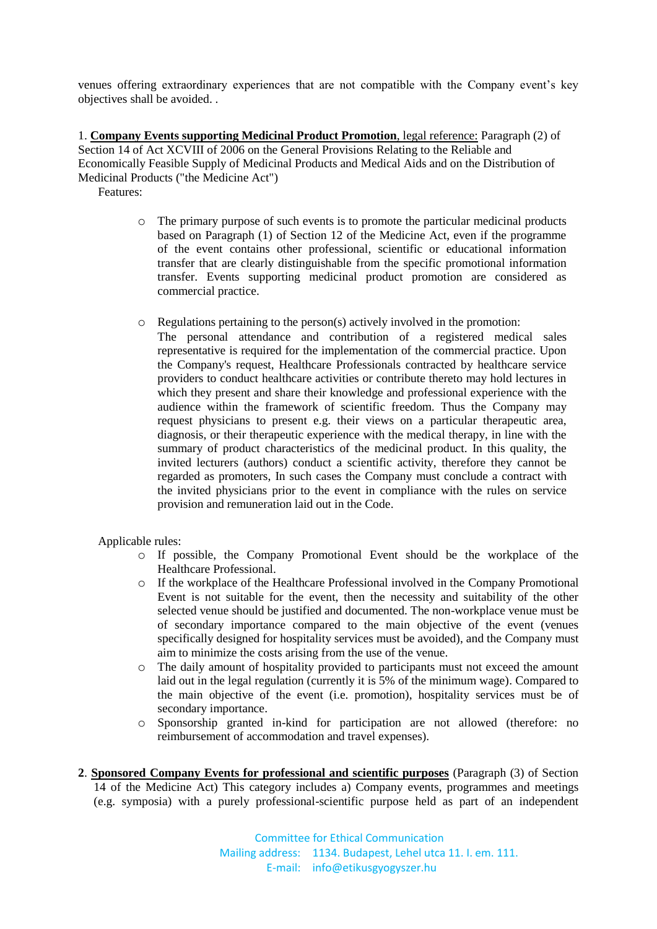venues offering extraordinary experiences that are not compatible with the Company event's key objectives shall be avoided. .

1. **Company Events supporting Medicinal Product Promotion**, legal reference: Paragraph (2) of Section 14 of Act XCVIII of 2006 on the General Provisions Relating to the Reliable and Economically Feasible Supply of Medicinal Products and Medical Aids and on the Distribution of Medicinal Products ("the Medicine Act")

Features:

- o The primary purpose of such events is to promote the particular medicinal products based on Paragraph (1) of Section 12 of the Medicine Act, even if the programme of the event contains other professional, scientific or educational information transfer that are clearly distinguishable from the specific promotional information transfer. Events supporting medicinal product promotion are considered as commercial practice.
- $\circ$  Regulations pertaining to the person(s) actively involved in the promotion:
	- The personal attendance and contribution of a registered medical sales representative is required for the implementation of the commercial practice. Upon the Company's request, Healthcare Professionals contracted by healthcare service providers to conduct healthcare activities or contribute thereto may hold lectures in which they present and share their knowledge and professional experience with the audience within the framework of scientific freedom. Thus the Company may request physicians to present e.g. their views on a particular therapeutic area, diagnosis, or their therapeutic experience with the medical therapy, in line with the summary of product characteristics of the medicinal product. In this quality, the invited lecturers (authors) conduct a scientific activity, therefore they cannot be regarded as promoters, In such cases the Company must conclude a contract with the invited physicians prior to the event in compliance with the rules on service provision and remuneration laid out in the Code.

Applicable rules:

- o If possible, the Company Promotional Event should be the workplace of the Healthcare Professional.
- o If the workplace of the Healthcare Professional involved in the Company Promotional Event is not suitable for the event, then the necessity and suitability of the other selected venue should be justified and documented. The non-workplace venue must be of secondary importance compared to the main objective of the event (venues specifically designed for hospitality services must be avoided), and the Company must aim to minimize the costs arising from the use of the venue.
- o The daily amount of hospitality provided to participants must not exceed the amount laid out in the legal regulation (currently it is 5% of the minimum wage). Compared to the main objective of the event (i.e. promotion), hospitality services must be of secondary importance.
- o Sponsorship granted in-kind for participation are not allowed (therefore: no reimbursement of accommodation and travel expenses).
- **2**. **Sponsored Company Events for professional and scientific purposes** (Paragraph (3) of Section 14 of the Medicine Act) This category includes a) Company events, programmes and meetings (e.g. symposia) with a purely professional-scientific purpose held as part of an independent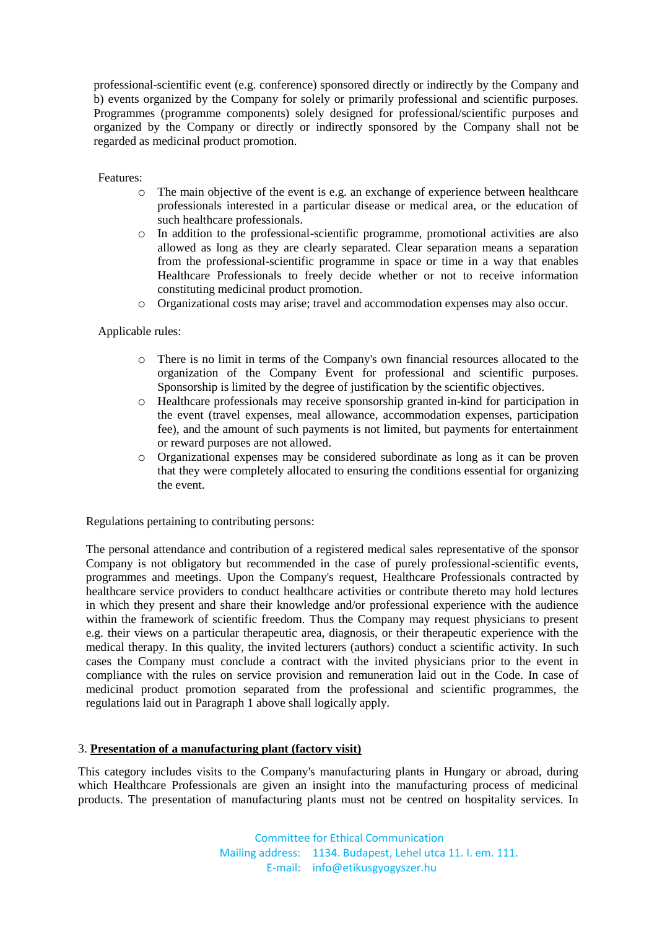professional-scientific event (e.g. conference) sponsored directly or indirectly by the Company and b) events organized by the Company for solely or primarily professional and scientific purposes. Programmes (programme components) solely designed for professional/scientific purposes and organized by the Company or directly or indirectly sponsored by the Company shall not be regarded as medicinal product promotion.

### Features:

- $\circ$  The main objective of the event is e.g. an exchange of experience between healthcare professionals interested in a particular disease or medical area, or the education of such healthcare professionals.
- o In addition to the professional-scientific programme, promotional activities are also allowed as long as they are clearly separated. Clear separation means a separation from the professional-scientific programme in space or time in a way that enables Healthcare Professionals to freely decide whether or not to receive information constituting medicinal product promotion.
- o Organizational costs may arise; travel and accommodation expenses may also occur.

Applicable rules:

- o There is no limit in terms of the Company's own financial resources allocated to the organization of the Company Event for professional and scientific purposes. Sponsorship is limited by the degree of justification by the scientific objectives.
- o Healthcare professionals may receive sponsorship granted in-kind for participation in the event (travel expenses, meal allowance, accommodation expenses, participation fee), and the amount of such payments is not limited, but payments for entertainment or reward purposes are not allowed.
- o Organizational expenses may be considered subordinate as long as it can be proven that they were completely allocated to ensuring the conditions essential for organizing the event.

Regulations pertaining to contributing persons:

The personal attendance and contribution of a registered medical sales representative of the sponsor Company is not obligatory but recommended in the case of purely professional-scientific events, programmes and meetings. Upon the Company's request, Healthcare Professionals contracted by healthcare service providers to conduct healthcare activities or contribute thereto may hold lectures in which they present and share their knowledge and/or professional experience with the audience within the framework of scientific freedom. Thus the Company may request physicians to present e.g. their views on a particular therapeutic area, diagnosis, or their therapeutic experience with the medical therapy. In this quality, the invited lecturers (authors) conduct a scientific activity. In such cases the Company must conclude a contract with the invited physicians prior to the event in compliance with the rules on service provision and remuneration laid out in the Code. In case of medicinal product promotion separated from the professional and scientific programmes, the regulations laid out in Paragraph 1 above shall logically apply.

## 3. **Presentation of a manufacturing plant (factory visit)**

This category includes visits to the Company's manufacturing plants in Hungary or abroad, during which Healthcare Professionals are given an insight into the manufacturing process of medicinal products. The presentation of manufacturing plants must not be centred on hospitality services. In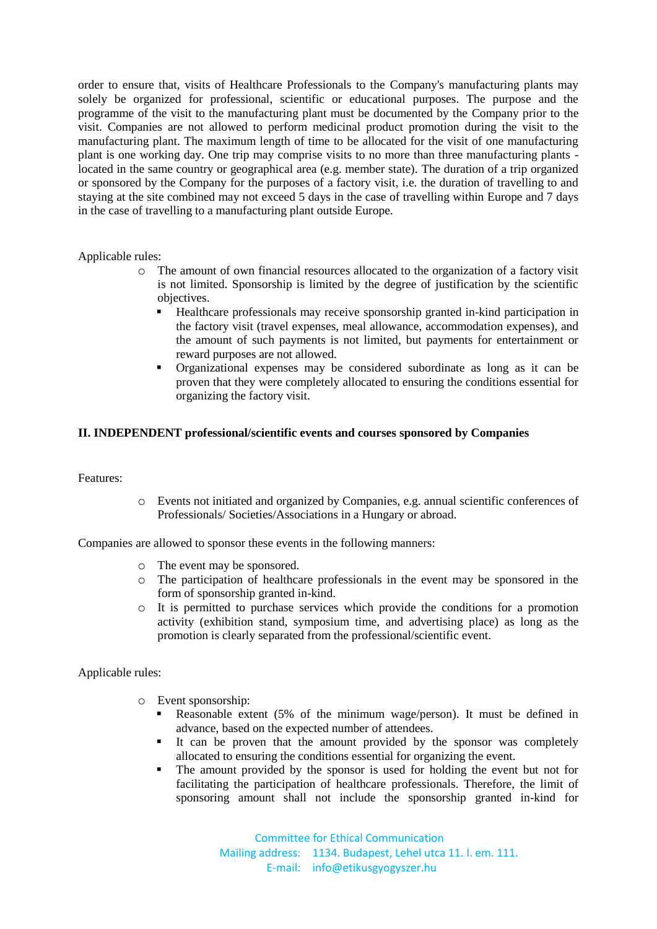order to ensure that, visits of Healthcare Professionals to the Company's manufacturing plants may solely be organized for professional, scientific or educational purposes. The purpose and the programme of the visit to the manufacturing plant must be documented by the Company prior to the visit. Companies are not allowed to perform medicinal product promotion during the visit to the manufacturing plant. The maximum length of time to be allocated for the visit of one manufacturing plant is one working day. One trip may comprise visits to no more than three manufacturing plants located in the same country or geographical area (e.g. member state). The duration of a trip organized or sponsored by the Company for the purposes of a factory visit, i.e. the duration of travelling to and staying at the site combined may not exceed 5 days in the case of travelling within Europe and 7 days in the case of travelling to a manufacturing plant outside Europe.

Applicable rules:

- o The amount of own financial resources allocated to the organization of a factory visit is not limited. Sponsorship is limited by the degree of justification by the scientific objectives.
	- Healthcare professionals may receive sponsorship granted in-kind participation in the factory visit (travel expenses, meal allowance, accommodation expenses), and the amount of such payments is not limited, but payments for entertainment or reward purposes are not allowed.
	- Organizational expenses may be considered subordinate as long as it can be proven that they were completely allocated to ensuring the conditions essential for organizing the factory visit.

#### **II. INDEPENDENT professional/scientific events and courses sponsored by Companies**

Features:

o Events not initiated and organized by Companies, e.g. annual scientific conferences of Professionals/ Societies/Associations in a Hungary or abroad.

Companies are allowed to sponsor these events in the following manners:

- o The event may be sponsored.
- o The participation of healthcare professionals in the event may be sponsored in the form of sponsorship granted in-kind.
- o It is permitted to purchase services which provide the conditions for a promotion activity (exhibition stand, symposium time, and advertising place) as long as the promotion is clearly separated from the professional/scientific event.

Applicable rules:

- o Event sponsorship:
	- Reasonable extent (5% of the minimum wage/person). It must be defined in advance, based on the expected number of attendees.
	- It can be proven that the amount provided by the sponsor was completely allocated to ensuring the conditions essential for organizing the event.
	- The amount provided by the sponsor is used for holding the event but not for facilitating the participation of healthcare professionals. Therefore, the limit of sponsoring amount shall not include the sponsorship granted in-kind for

Committee for Ethical Communication Mailing address: 1134. Budapest, Lehel utca 11. I. em. 111. E-mail: info@etikusgyogyszer.hu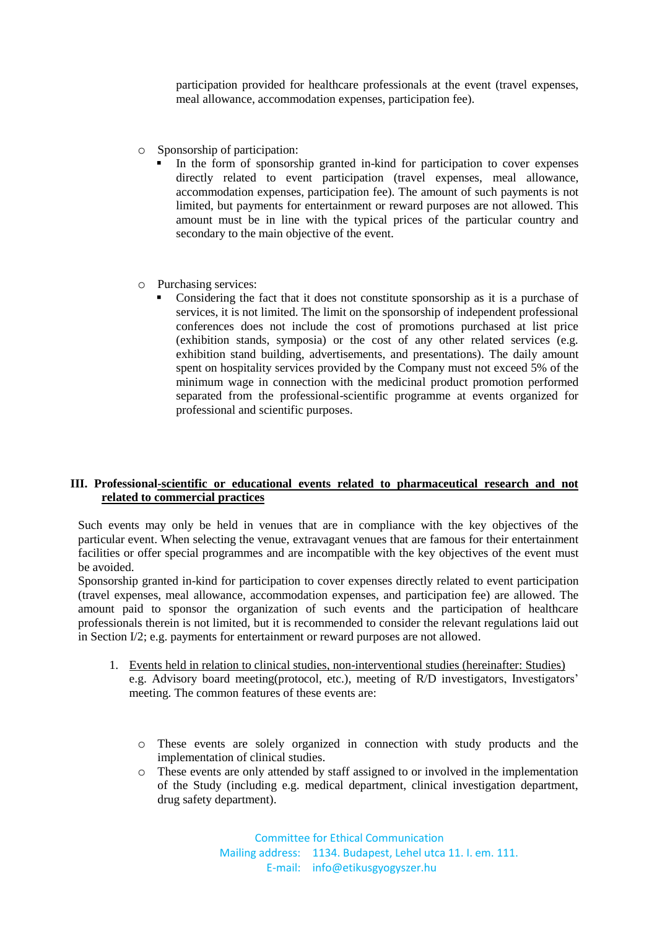participation provided for healthcare professionals at the event (travel expenses, meal allowance, accommodation expenses, participation fee).

- o Sponsorship of participation:
	- In the form of sponsorship granted in-kind for participation to cover expenses directly related to event participation (travel expenses, meal allowance, accommodation expenses, participation fee). The amount of such payments is not limited, but payments for entertainment or reward purposes are not allowed. This amount must be in line with the typical prices of the particular country and secondary to the main objective of the event.
- o Purchasing services:
	- Considering the fact that it does not constitute sponsorship as it is a purchase of services, it is not limited. The limit on the sponsorship of independent professional conferences does not include the cost of promotions purchased at list price (exhibition stands, symposia) or the cost of any other related services (e.g. exhibition stand building, advertisements, and presentations). The daily amount spent on hospitality services provided by the Company must not exceed 5% of the minimum wage in connection with the medicinal product promotion performed separated from the professional-scientific programme at events organized for professional and scientific purposes.

### **III. Professional-scientific or educational events related to pharmaceutical research and not related to commercial practices**

Such events may only be held in venues that are in compliance with the key objectives of the particular event. When selecting the venue, extravagant venues that are famous for their entertainment facilities or offer special programmes and are incompatible with the key objectives of the event must be avoided.

Sponsorship granted in-kind for participation to cover expenses directly related to event participation (travel expenses, meal allowance, accommodation expenses, and participation fee) are allowed. The amount paid to sponsor the organization of such events and the participation of healthcare professionals therein is not limited, but it is recommended to consider the relevant regulations laid out in Section I/2; e.g. payments for entertainment or reward purposes are not allowed.

- 1. Events held in relation to clinical studies, non-interventional studies (hereinafter: Studies) e.g. Advisory board meeting(protocol, etc.), meeting of R/D investigators, Investigators' meeting. The common features of these events are:
	- o These events are solely organized in connection with study products and the implementation of clinical studies.
	- o These events are only attended by staff assigned to or involved in the implementation of the Study (including e.g. medical department, clinical investigation department, drug safety department).

Committee for Ethical Communication Mailing address: 1134. Budapest, Lehel utca 11. I. em. 111. E-mail: info@etikusgyogyszer.hu